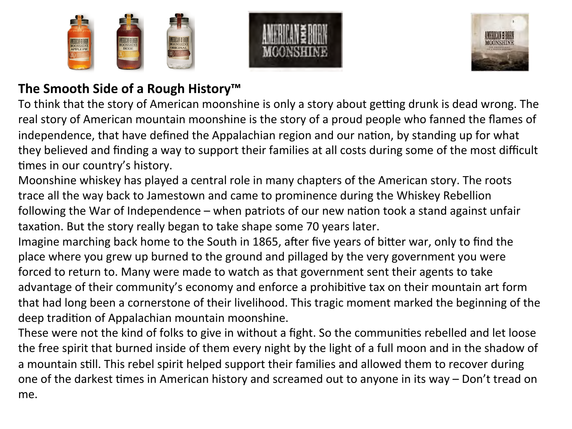





## **The Smooth Side of a Rough History™**

To think that the story of American moonshine is only a story about getting drunk is dead wrong. The real story of American mountain moonshine is the story of a proud people who fanned the flames of independence, that have defined the Appalachian region and our nation, by standing up for what they believed and finding a way to support their families at all costs during some of the most difficult times in our country's history.

Moonshine whiskey has played a central role in many chapters of the American story. The roots trace all the way back to Jamestown and came to prominence during the Whiskey Rebellion following the War of Independence – when patriots of our new nation took a stand against unfair taxation. But the story really began to take shape some 70 years later.

Imagine marching back home to the South in 1865, after five years of bitter war, only to find the place where you grew up burned to the ground and pillaged by the very government you were forced to return to. Many were made to watch as that government sent their agents to take advantage of their community's economy and enforce a prohibitive tax on their mountain art form that had long been a cornerstone of their livelihood. This tragic moment marked the beginning of the deep tradition of Appalachian mountain moonshine.

These were not the kind of folks to give in without a fight. So the communities rebelled and let loose the free spirit that burned inside of them every night by the light of a full moon and in the shadow of a mountain still. This rebel spirit helped support their families and allowed them to recover during one of the darkest times in American history and screamed out to anyone in its way – Don't tread on me.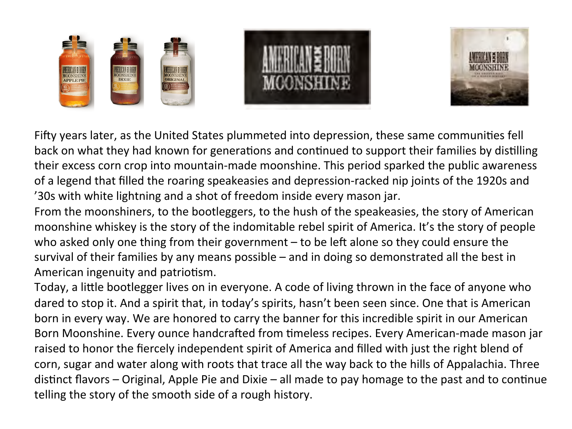



Fifty years later, as the United States plummeted into depression, these same communities fell back on what they had known for generations and continued to support their families by distilling their excess corn crop into mountain-made moonshine. This period sparked the public awareness of a legend that filled the roaring speakeasies and depression-racked nip joints of the 1920s and '30s with white lightning and a shot of freedom inside every mason jar.

From the moonshiners, to the bootleggers, to the hush of the speakeasies, the story of American moonshine whiskey is the story of the indomitable rebel spirit of America. It's the story of people who asked only one thing from their government  $-$  to be left alone so they could ensure the survival of their families by any means possible – and in doing so demonstrated all the best in American ingenuity and patriotism.

Today, a little bootlegger lives on in everyone. A code of living thrown in the face of anyone who dared to stop it. And a spirit that, in today's spirits, hasn't been seen since. One that is American born in every way. We are honored to carry the banner for this incredible spirit in our American Born Moonshine. Every ounce handcrafted from timeless recipes. Every American-made mason jar raised to honor the fiercely independent spirit of America and filled with just the right blend of corn, sugar and water along with roots that trace all the way back to the hills of Appalachia. Three distinct flavors – Original, Apple Pie and Dixie – all made to pay homage to the past and to continue telling the story of the smooth side of a rough history.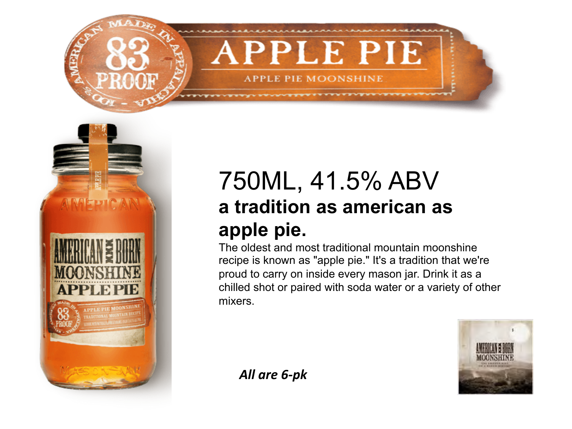



## 750ML, 41.5% ABV **a tradition as american as apple pie.**

The oldest and most traditional mountain moonshine recipe is known as "apple pie." It's a tradition that we're proud to carry on inside every mason jar. Drink it as a chilled shot or paired with soda water or a variety of other mixers.



*All are 6-pk*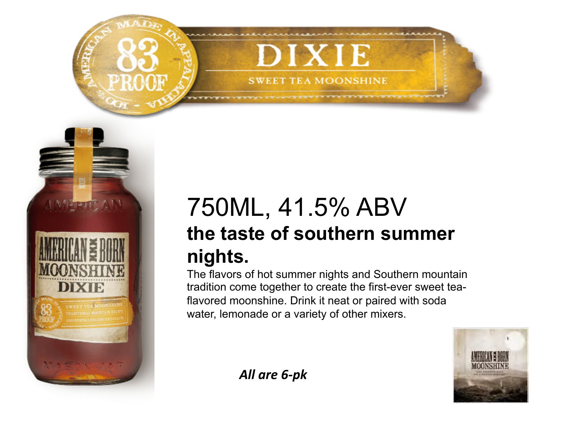



## 750ML, 41.5% ABV **the taste of southern summer nights.**

The flavors of hot summer nights and Southern mountain tradition come together to create the first-ever sweet teaflavored moonshine. Drink it neat or paired with soda water, lemonade or a variety of other mixers.



*All are 6-pk*